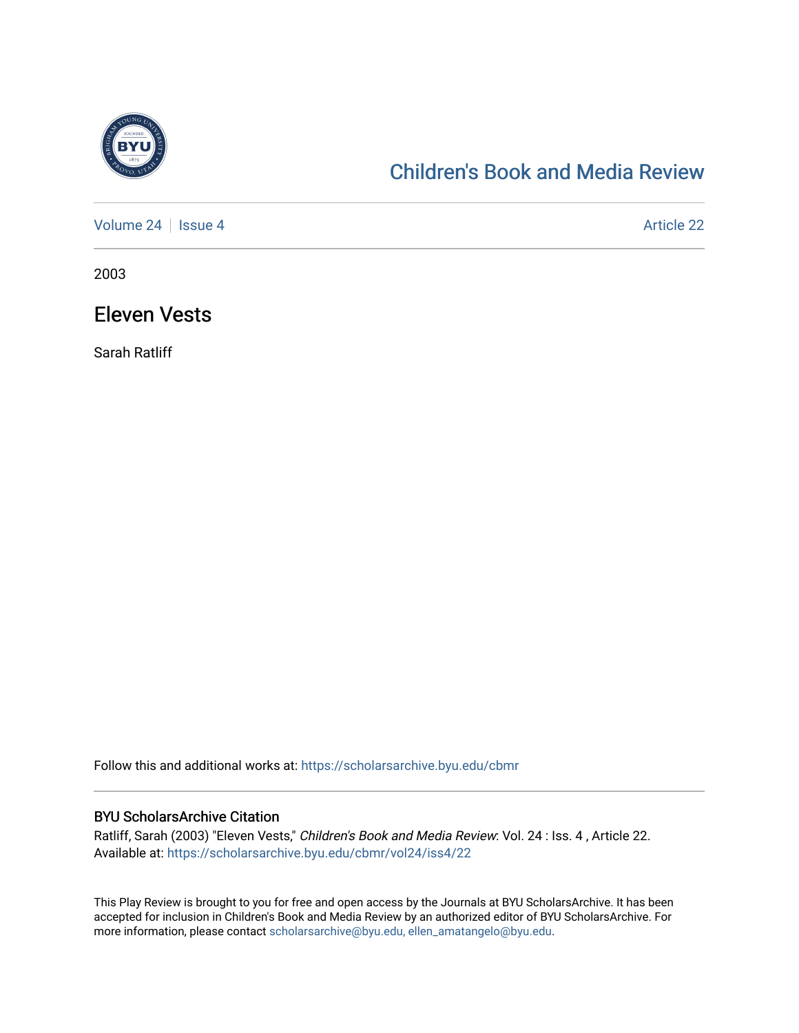

## [Children's Book and Media Review](https://scholarsarchive.byu.edu/cbmr)

[Volume 24](https://scholarsarchive.byu.edu/cbmr/vol24) | [Issue 4](https://scholarsarchive.byu.edu/cbmr/vol24/iss4) Article 22

2003

## Eleven Vests

Sarah Ratliff

Follow this and additional works at: [https://scholarsarchive.byu.edu/cbmr](https://scholarsarchive.byu.edu/cbmr?utm_source=scholarsarchive.byu.edu%2Fcbmr%2Fvol24%2Fiss4%2F22&utm_medium=PDF&utm_campaign=PDFCoverPages) 

## BYU ScholarsArchive Citation

Ratliff, Sarah (2003) "Eleven Vests," Children's Book and Media Review: Vol. 24 : Iss. 4, Article 22. Available at: [https://scholarsarchive.byu.edu/cbmr/vol24/iss4/22](https://scholarsarchive.byu.edu/cbmr/vol24/iss4/22?utm_source=scholarsarchive.byu.edu%2Fcbmr%2Fvol24%2Fiss4%2F22&utm_medium=PDF&utm_campaign=PDFCoverPages)

This Play Review is brought to you for free and open access by the Journals at BYU ScholarsArchive. It has been accepted for inclusion in Children's Book and Media Review by an authorized editor of BYU ScholarsArchive. For more information, please contact [scholarsarchive@byu.edu, ellen\\_amatangelo@byu.edu.](mailto:scholarsarchive@byu.edu,%20ellen_amatangelo@byu.edu)